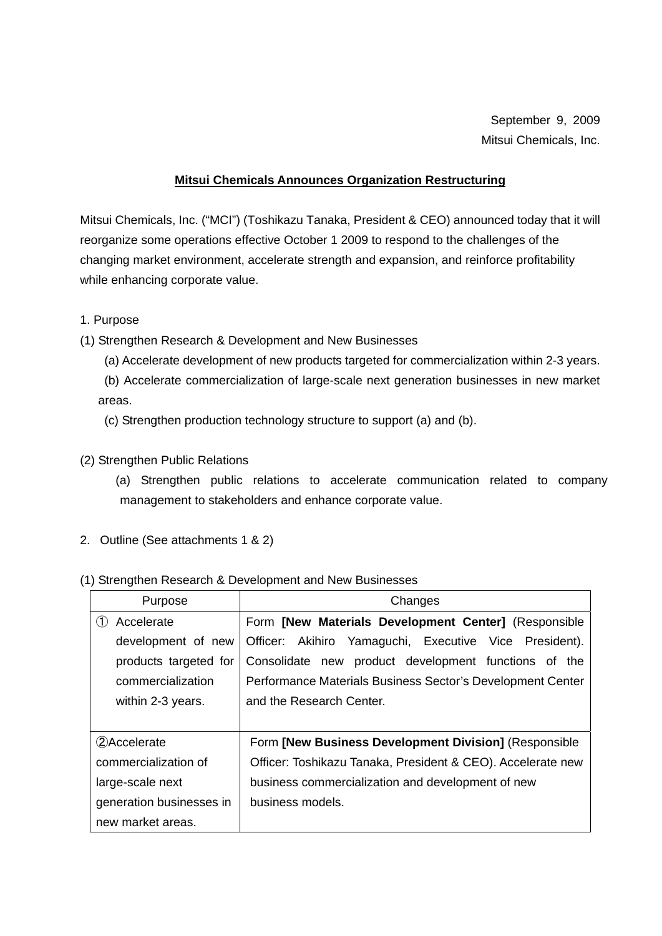September 9, 2009 Mitsui Chemicals, Inc.

### **Mitsui Chemicals Announces Organization Restructuring**

Mitsui Chemicals, Inc. ("MCI") (Toshikazu Tanaka, President & CEO) announced today that it will reorganize some operations effective October 1 2009 to respond to the challenges of the changing market environment, accelerate strength and expansion, and reinforce profitability while enhancing corporate value.

### 1. Purpose

(1) Strengthen Research & Development and New Businesses

(a) Accelerate development of new products targeted for commercialization within 2-3 years.

(b) Accelerate commercialization of large-scale next generation businesses in new market areas.

(c) Strengthen production technology structure to support (a) and (b).

(2) Strengthen Public Relations

(a) Strengthen public relations to accelerate communication related to company management to stakeholders and enhance corporate value.

2. Outline (See attachments 1 & 2)

### (1) Strengthen Research & Development and New Businesses

| Purpose                  | Changes                                                     |  |
|--------------------------|-------------------------------------------------------------|--|
| Accelerate               | Form [New Materials Development Center] (Responsible        |  |
| development of new       | Officer: Akihiro Yamaguchi, Executive Vice President).      |  |
| products targeted for    | product development functions of the<br>Consolidate new     |  |
| commercialization        | Performance Materials Business Sector's Development Center  |  |
| within 2-3 years.        | and the Research Center.                                    |  |
|                          |                                                             |  |
| (2)Accelerate            | Form [New Business Development Division] (Responsible       |  |
| commercialization of     | Officer: Toshikazu Tanaka, President & CEO). Accelerate new |  |
| large-scale next         | business commercialization and development of new           |  |
| generation businesses in | business models.                                            |  |
| new market areas.        |                                                             |  |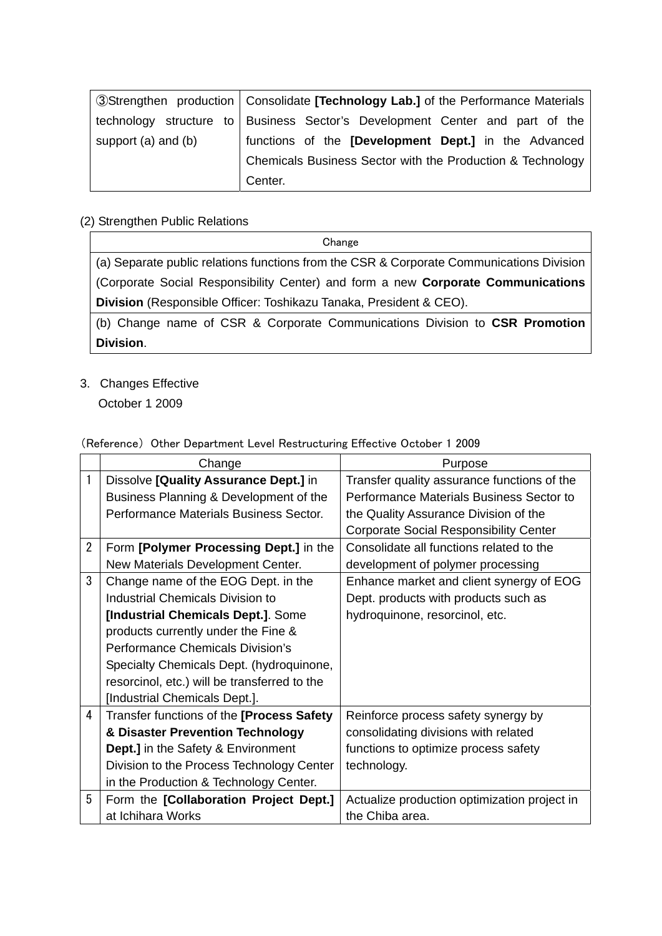|                         | <b>3</b> Strengthen production   Consolidate <b>[Technology Lab.]</b> of the Performance Materials |
|-------------------------|----------------------------------------------------------------------------------------------------|
|                         | technology structure to   Business Sector's Development Center and part of the                     |
| support $(a)$ and $(b)$ | functions of the [Development Dept.] in the Advanced                                               |
|                         | Chemicals Business Sector with the Production & Technology                                         |
|                         | Center.                                                                                            |

### (2) Strengthen Public Relations

Change

(a) Separate public relations functions from the CSR & Corporate Communications Division (Corporate Social Responsibility Center) and form a new **Corporate Communications Division** (Responsible Officer: Toshikazu Tanaka, President & CEO).

(b) Change name of CSR & Corporate Communications Division to **CSR Promotion Division**.

### 3. Changes Effective

October 1 2009

|                | Change                                       | Purpose                                       |
|----------------|----------------------------------------------|-----------------------------------------------|
| 1              | Dissolve [Quality Assurance Dept.] in        | Transfer quality assurance functions of the   |
|                | Business Planning & Development of the       | Performance Materials Business Sector to      |
|                | Performance Materials Business Sector.       | the Quality Assurance Division of the         |
|                |                                              | <b>Corporate Social Responsibility Center</b> |
| $\overline{2}$ | Form [Polymer Processing Dept.] in the       | Consolidate all functions related to the      |
|                | New Materials Development Center.            | development of polymer processing             |
| 3              | Change name of the EOG Dept. in the          | Enhance market and client synergy of EOG      |
|                | <b>Industrial Chemicals Division to</b>      | Dept. products with products such as          |
|                | [Industrial Chemicals Dept.]. Some           | hydroquinone, resorcinol, etc.                |
|                | products currently under the Fine &          |                                               |
|                | <b>Performance Chemicals Division's</b>      |                                               |
|                | Specialty Chemicals Dept. (hydroquinone,     |                                               |
|                | resorcinol, etc.) will be transferred to the |                                               |
|                | [Industrial Chemicals Dept.].                |                                               |
| 4              | Transfer functions of the [Process Safety    | Reinforce process safety synergy by           |
|                | & Disaster Prevention Technology             | consolidating divisions with related          |
|                | <b>Dept.]</b> in the Safety & Environment    | functions to optimize process safety          |
|                | Division to the Process Technology Center    | technology.                                   |
|                | in the Production & Technology Center.       |                                               |
| 5              | Form the [Collaboration Project Dept.]       | Actualize production optimization project in  |
|                | at Ichihara Works                            | the Chiba area.                               |

### (Reference) Other Department Level Restructuring Effective October 1 2009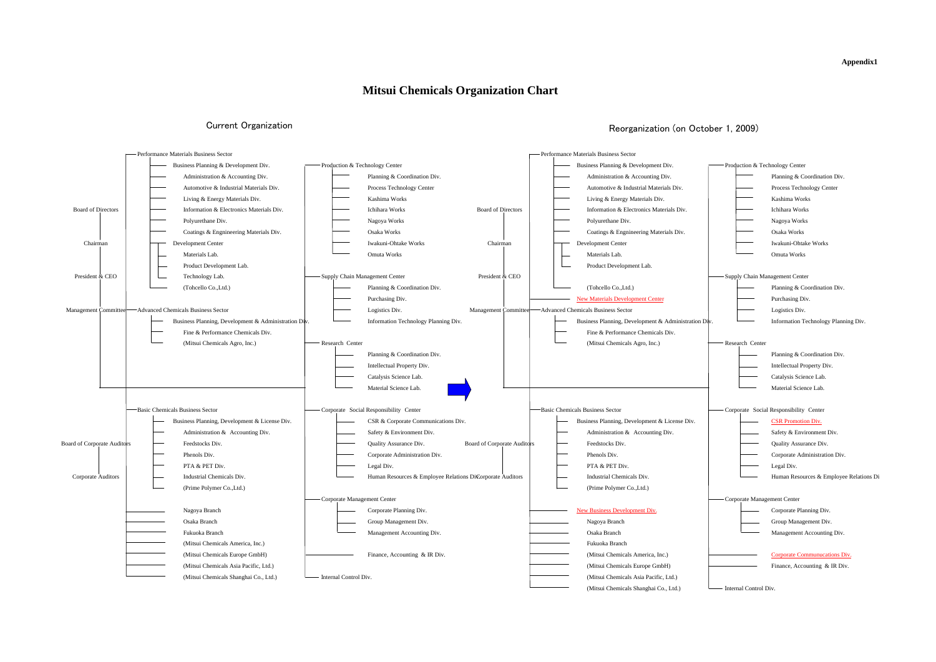### **Appendix1**

| Production & Technology Center |                                         |
|--------------------------------|-----------------------------------------|
|                                | Planning & Coordination Div.            |
|                                | Process Technology Center               |
|                                | Kashima Works                           |
|                                | Ichihara Works                          |
|                                | Nagoya Works                            |
|                                | Osaka Works                             |
|                                | Iwakuni-Ohtake Works                    |
|                                | Omuta Works                             |
|                                | Supply Chain Management Center          |
|                                | Planning & Coordination Div.            |
|                                | Purchasing Div.                         |
|                                | Logistics Div.                          |
| Div.                           | Information Technology Planning Div.    |
|                                |                                         |
| Research Center                |                                         |
|                                | Planning & Coordination Div.            |
|                                | Intellectual Property Div.              |
|                                | Catalysis Science Lab.                  |
|                                | Material Science Lab.                   |
|                                |                                         |
|                                | Corporate Social Responsibility Center  |
|                                | <b>CSR Promotion Div.</b>               |
|                                | Safety & Environment Div.               |
|                                | Quality Assurance Div.                  |
|                                | Corporate Administration Div.           |
|                                | Legal Div.                              |
|                                | Human Resources & Employee Relations Di |
| Corporate Management Center    |                                         |
|                                | Corporate Planning Div.                 |
|                                | Group Management Div.                   |
|                                | Management Accounting Div.              |
|                                | Corporate Communucations Div.           |
|                                | Finance, Accounting & IR Div.           |
|                                |                                         |
| Internal Control Div.          |                                         |



## Current Organization **Current Organization** Current Organization (on October 1, 2009)

## **Mitsui Chemicals Organization Chart**